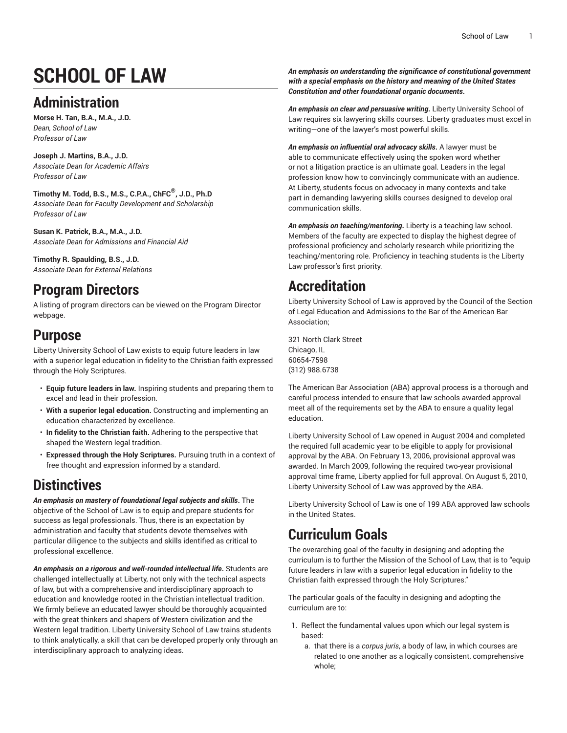# **SCHOOL OF LAW**

## **Administration**

**Morse H. Tan, B.A., M.A., J.D.** *Dean, School of Law Professor of Law*

**Joseph J. Martins, B.A., J.D.** *Associate Dean for Academic Affairs Professor of Law*

**Timothy M. Todd, B.S., M.S., C.P.A., ChFC ® , J.D., Ph.D** *Associate Dean for Faculty Development and Scholarship Professor of Law*

**Susan K. Patrick, B.A., M.A., J.D.** *Associate Dean for Admissions and Financial Aid*

**Timothy R. Spaulding, B.S., J.D.** *Associate Dean for External Relations*

### **Program Directors**

A listing of program directors can be viewed on the [Program](https://www.liberty.edu/institutional-effectiveness/academic-program-directors/) Director webpage.

### **Purpose**

Liberty University School of Law exists to equip future leaders in law with a superior legal education in fidelity to the Christian faith expressed through the Holy Scriptures.

- **Equip future leaders in law.** Inspiring students and preparing them to excel and lead in their profession.
- **With a superior legal education.** Constructing and implementing an education characterized by excellence.
- **In fidelity to the Christian faith.** Adhering to the perspective that shaped the Western legal tradition.
- **Expressed through the Holy Scriptures.** Pursuing truth in a context of free thought and expression informed by a standard.

### **Distinctives**

*An emphasis on mastery of foundational legal subjects and skills***.** The objective of the School of Law is to equip and prepare students for success as legal professionals. Thus, there is an expectation by administration and faculty that students devote themselves with particular diligence to the subjects and skills identified as critical to professional excellence.

*An emphasis on a rigorous and well-rounded intellectual life***.** Students are challenged intellectually at Liberty, not only with the technical aspects of law, but with a comprehensive and interdisciplinary approach to education and knowledge rooted in the Christian intellectual tradition. We firmly believe an educated lawyer should be thoroughly acquainted with the great thinkers and shapers of Western civilization and the Western legal tradition. Liberty University School of Law trains students to think analytically, a skill that can be developed properly only through an interdisciplinary approach to analyzing ideas.

*An emphasis on understanding the significance of constitutional government with a special emphasis on the history and meaning of the United States Constitution and other foundational organic documents***.**

*An emphasis on clear and persuasive writing***.** Liberty University School of Law requires six lawyering skills courses. Liberty graduates must excel in writing—one of the lawyer's most powerful skills.

*An emphasis on influential oral advocacy skills***.** A lawyer must be able to communicate effectively using the spoken word whether or not a litigation practice is an ultimate goal. Leaders in the legal profession know how to convincingly communicate with an audience. At Liberty, students focus on advocacy in many contexts and take part in demanding lawyering skills courses designed to develop oral communication skills.

*An emphasis on teaching/mentoring***.** Liberty is a teaching law school. Members of the faculty are expected to display the highest degree of professional proficiency and scholarly research while prioritizing the teaching/mentoring role. Proficiency in teaching students is the Liberty Law professor's first priority.

## **Accreditation**

Liberty University School of Law is approved by the Council of the Section of Legal Education and Admissions to the Bar of the American Bar Association;

321 North Clark Street Chicago, IL 60654-7598 (312) 988.6738

The American Bar Association (ABA) approval process is a thorough and careful process intended to ensure that law schools awarded approval meet all of the requirements set by the ABA to ensure a quality legal education.

Liberty University School of Law opened in August 2004 and completed the required full academic year to be eligible to apply for provisional approval by the ABA. On February 13, 2006, provisional approval was awarded. In March 2009, following the required two-year provisional approval time frame, Liberty applied for full approval. On August 5, 2010, Liberty University School of Law was approved by the ABA.

Liberty University School of Law is one of 199 ABA approved law schools in the United States.

## **Curriculum Goals**

The overarching goal of the faculty in designing and adopting the curriculum is to further the Mission of the School of Law, that is to "equip future leaders in law with a superior legal education in fidelity to the Christian faith expressed through the Holy Scriptures."

The particular goals of the faculty in designing and adopting the curriculum are to:

- 1. Reflect the fundamental values upon which our legal system is based:
	- a. that there is a *corpus juris*, a body of law, in which courses are related to one another as a logically consistent, comprehensive whole;